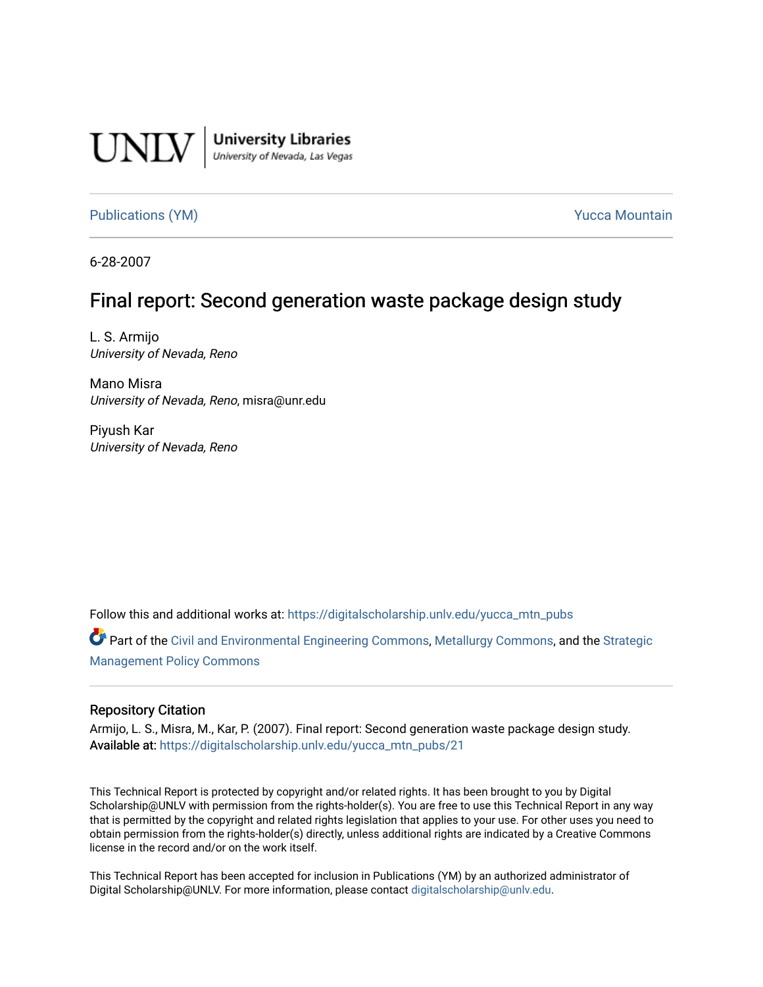

**University Libraries**<br>University of Nevada, Las Vegas

[Publications \(YM\)](https://digitalscholarship.unlv.edu/yucca_mtn_pubs) **Publications (YM) Publications (YM) Publications** (*YM*)

6-28-2007

# Final report: Second generation waste package design study

L. S. Armijo University of Nevada, Reno

Mano Misra University of Nevada, Reno, misra@unr.edu

Piyush Kar University of Nevada, Reno

Follow this and additional works at: [https://digitalscholarship.unlv.edu/yucca\\_mtn\\_pubs](https://digitalscholarship.unlv.edu/yucca_mtn_pubs?utm_source=digitalscholarship.unlv.edu%2Fyucca_mtn_pubs%2F21&utm_medium=PDF&utm_campaign=PDFCoverPages)

Part of the [Civil and Environmental Engineering Commons](http://network.bepress.com/hgg/discipline/251?utm_source=digitalscholarship.unlv.edu%2Fyucca_mtn_pubs%2F21&utm_medium=PDF&utm_campaign=PDFCoverPages), [Metallurgy Commons](http://network.bepress.com/hgg/discipline/288?utm_source=digitalscholarship.unlv.edu%2Fyucca_mtn_pubs%2F21&utm_medium=PDF&utm_campaign=PDFCoverPages), and the [Strategic](http://network.bepress.com/hgg/discipline/642?utm_source=digitalscholarship.unlv.edu%2Fyucca_mtn_pubs%2F21&utm_medium=PDF&utm_campaign=PDFCoverPages)  [Management Policy Commons](http://network.bepress.com/hgg/discipline/642?utm_source=digitalscholarship.unlv.edu%2Fyucca_mtn_pubs%2F21&utm_medium=PDF&utm_campaign=PDFCoverPages) 

#### Repository Citation

Armijo, L. S., Misra, M., Kar, P. (2007). Final report: Second generation waste package design study. Available at: [https://digitalscholarship.unlv.edu/yucca\\_mtn\\_pubs/21](https://digitalscholarship.unlv.edu/yucca_mtn_pubs/21) 

This Technical Report is protected by copyright and/or related rights. It has been brought to you by Digital Scholarship@UNLV with permission from the rights-holder(s). You are free to use this Technical Report in any way that is permitted by the copyright and related rights legislation that applies to your use. For other uses you need to obtain permission from the rights-holder(s) directly, unless additional rights are indicated by a Creative Commons license in the record and/or on the work itself.

This Technical Report has been accepted for inclusion in Publications (YM) by an authorized administrator of Digital Scholarship@UNLV. For more information, please contact [digitalscholarship@unlv.edu](mailto:digitalscholarship@unlv.edu).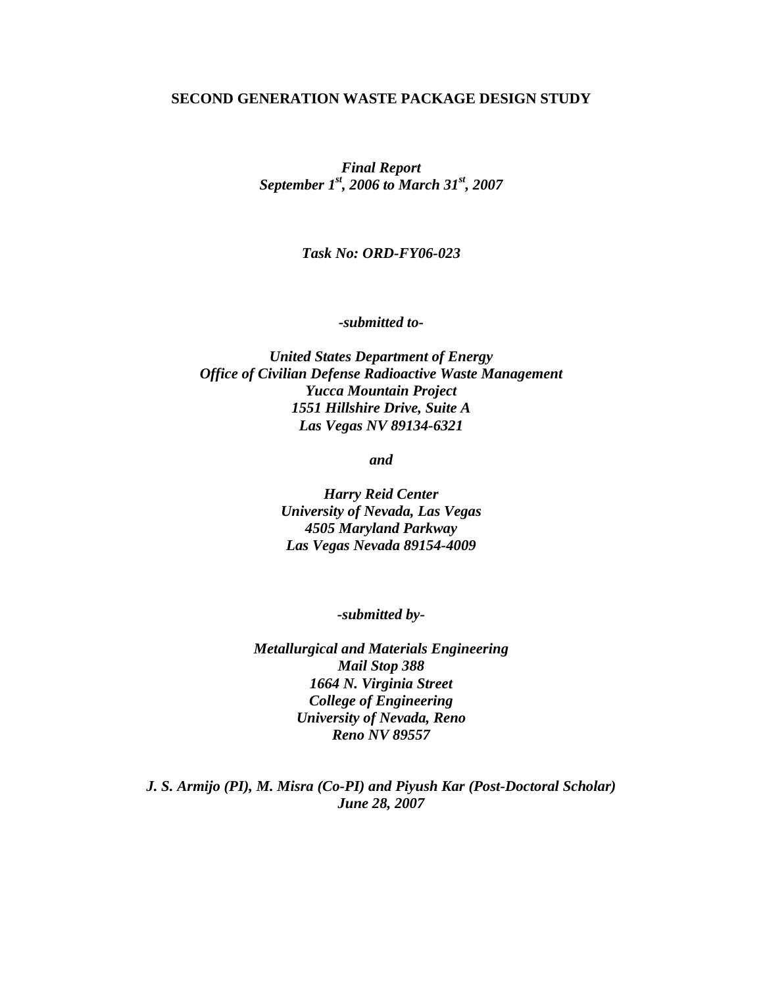### **SECOND GENERATION WASTE PACKAGE DESIGN STUDY**

*Final Report September 1st, 2006 to March 31st, 2007* 

*Task No: ORD-FY06-023*

*-submitted to-*

*United States Department of Energy Office of Civilian Defense Radioactive Waste Management Yucca Mountain Project 1551 Hillshire Drive, Suite A Las Vegas NV 89134-6321* 

*and* 

*Harry Reid Center University of Nevada, Las Vegas 4505 Maryland Parkway Las Vegas Nevada 89154-4009* 

*-submitted by-*

*Metallurgical and Materials Engineering Mail Stop 388 1664 N. Virginia Street College of Engineering University of Nevada, Reno Reno NV 89557* 

*J. S. Armijo (PI), M. Misra (Co-PI) and Piyush Kar (Post-Doctoral Scholar) June 28, 2007*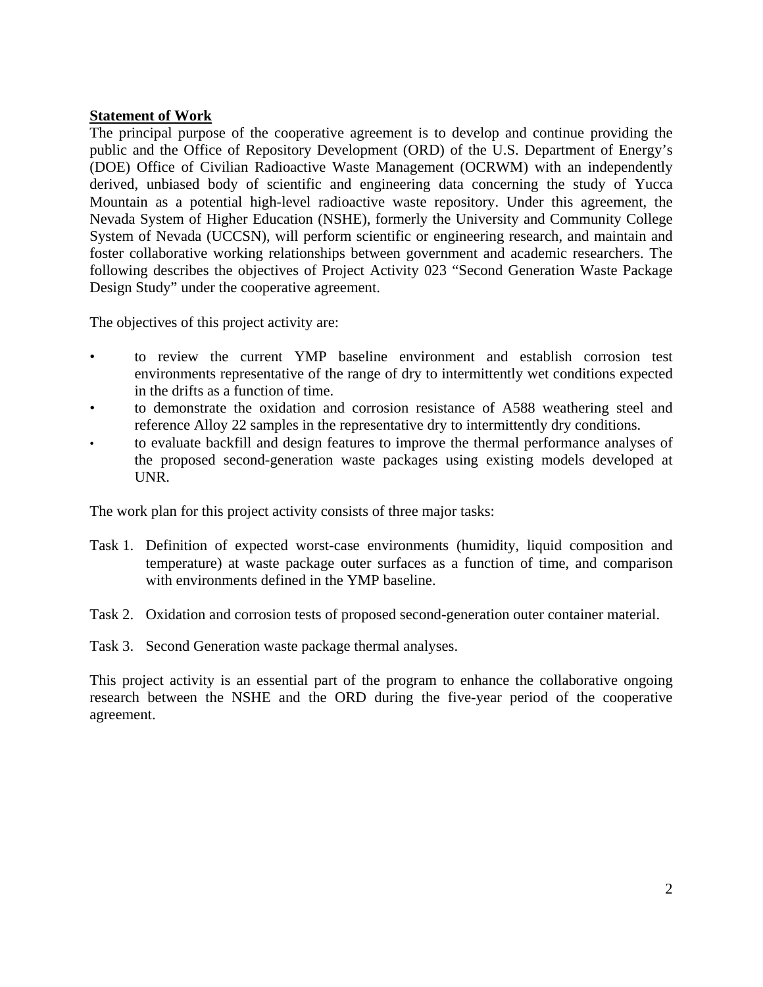# **Statement of Work**

The principal purpose of the cooperative agreement is to develop and continue providing the public and the Office of Repository Development (ORD) of the U.S. Department of Energy's (DOE) Office of Civilian Radioactive Waste Management (OCRWM) with an independently derived, unbiased body of scientific and engineering data concerning the study of Yucca Mountain as a potential high-level radioactive waste repository. Under this agreement, the Nevada System of Higher Education (NSHE), formerly the University and Community College System of Nevada (UCCSN), will perform scientific or engineering research, and maintain and foster collaborative working relationships between government and academic researchers. The following describes the objectives of Project Activity 023 "Second Generation Waste Package Design Study" under the cooperative agreement.

The objectives of this project activity are:

- to review the current YMP baseline environment and establish corrosion test environments representative of the range of dry to intermittently wet conditions expected in the drifts as a function of time.
- to demonstrate the oxidation and corrosion resistance of A588 weathering steel and reference Alloy 22 samples in the representative dry to intermittently dry conditions.
- to evaluate backfill and design features to improve the thermal performance analyses of the proposed second-generation waste packages using existing models developed at UNR.

The work plan for this project activity consists of three major tasks:

- Task 1. Definition of expected worst-case environments (humidity, liquid composition and temperature) at waste package outer surfaces as a function of time, and comparison with environments defined in the YMP baseline.
- Task 2. Oxidation and corrosion tests of proposed second-generation outer container material.
- Task 3. Second Generation waste package thermal analyses.

This project activity is an essential part of the program to enhance the collaborative ongoing research between the NSHE and the ORD during the five-year period of the cooperative agreement.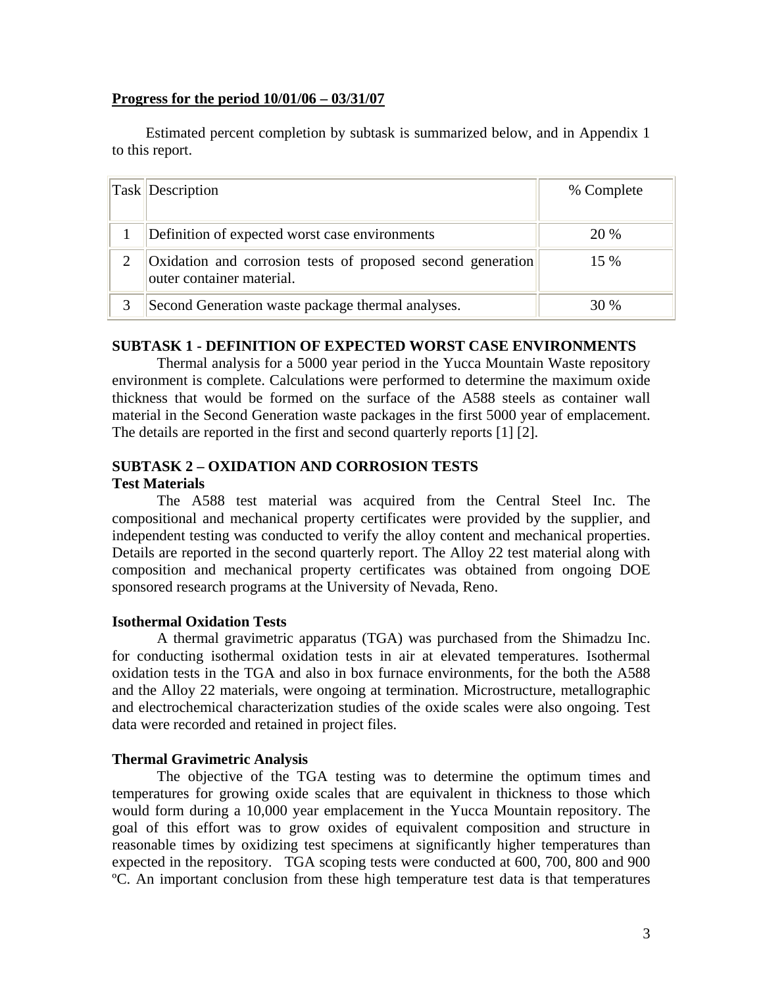## **Progress for the period 10/01/06 – 03/31/07**

 Estimated percent completion by subtask is summarized below, and in Appendix 1 to this report.

| <b>Task Description</b>                                                                  | % Complete |
|------------------------------------------------------------------------------------------|------------|
| Definition of expected worst case environments                                           | 20 %       |
| Oxidation and corrosion tests of proposed second generation<br>outer container material. | 15 %       |
| Second Generation waste package thermal analyses.                                        | 30 %       |

# **SUBTASK 1 - DEFINITION OF EXPECTED WORST CASE ENVIRONMENTS**

Thermal analysis for a 5000 year period in the Yucca Mountain Waste repository environment is complete. Calculations were performed to determine the maximum oxide thickness that would be formed on the surface of the A588 steels as container wall material in the Second Generation waste packages in the first 5000 year of emplacement. The details are reported in the first and second quarterly reports [1] [2].

## **SUBTASK 2 – OXIDATION AND CORROSION TESTS Test Materials**

The A588 test material was acquired from the Central Steel Inc. The compositional and mechanical property certificates were provided by the supplier, and independent testing was conducted to verify the alloy content and mechanical properties. Details are reported in the second quarterly report. The Alloy 22 test material along with composition and mechanical property certificates was obtained from ongoing DOE sponsored research programs at the University of Nevada, Reno.

# **Isothermal Oxidation Tests**

A thermal gravimetric apparatus (TGA) was purchased from the Shimadzu Inc. for conducting isothermal oxidation tests in air at elevated temperatures. Isothermal oxidation tests in the TGA and also in box furnace environments, for the both the A588 and the Alloy 22 materials, were ongoing at termination. Microstructure, metallographic and electrochemical characterization studies of the oxide scales were also ongoing. Test data were recorded and retained in project files.

# **Thermal Gravimetric Analysis**

The objective of the TGA testing was to determine the optimum times and temperatures for growing oxide scales that are equivalent in thickness to those which would form during a 10,000 year emplacement in the Yucca Mountain repository. The goal of this effort was to grow oxides of equivalent composition and structure in reasonable times by oxidizing test specimens at significantly higher temperatures than expected in the repository. TGA scoping tests were conducted at 600, 700, 800 and 900 ºC. An important conclusion from these high temperature test data is that temperatures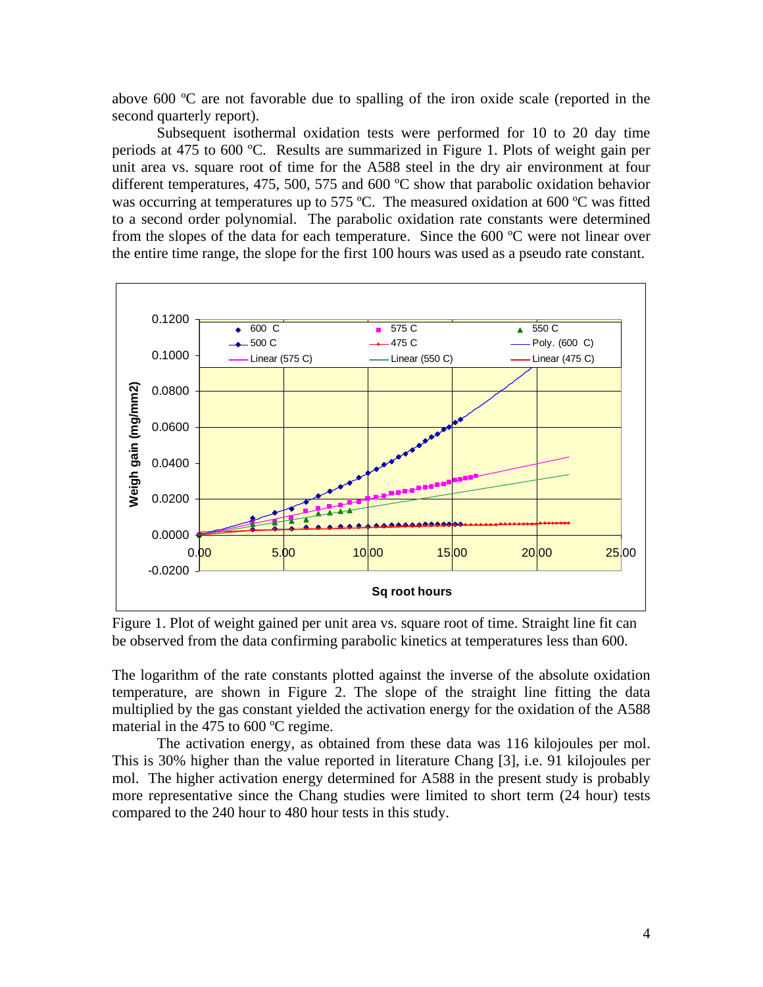above 600 ºC are not favorable due to spalling of the iron oxide scale (reported in the second quarterly report).

Subsequent isothermal oxidation tests were performed for 10 to 20 day time periods at 475 to 600 ºC. Results are summarized in Figure 1. Plots of weight gain per unit area vs. square root of time for the A588 steel in the dry air environment at four different temperatures, 475, 500, 575 and 600 ºC show that parabolic oxidation behavior was occurring at temperatures up to 575 °C. The measured oxidation at 600 °C was fitted to a second order polynomial. The parabolic oxidation rate constants were determined from the slopes of the data for each temperature. Since the 600 ºC were not linear over the entire time range, the slope for the first 100 hours was used as a pseudo rate constant.



Figure 1. Plot of weight gained per unit area vs. square root of time. Straight line fit can be observed from the data confirming parabolic kinetics at temperatures less than 600.

The logarithm of the rate constants plotted against the inverse of the absolute oxidation temperature, are shown in Figure 2. The slope of the straight line fitting the data multiplied by the gas constant yielded the activation energy for the oxidation of the A588 material in the 475 to 600 ºC regime.

The activation energy, as obtained from these data was 116 kilojoules per mol. This is 30% higher than the value reported in literature Chang [3], i.e. 91 kilojoules per mol. The higher activation energy determined for A588 in the present study is probably more representative since the Chang studies were limited to short term (24 hour) tests compared to the 240 hour to 480 hour tests in this study.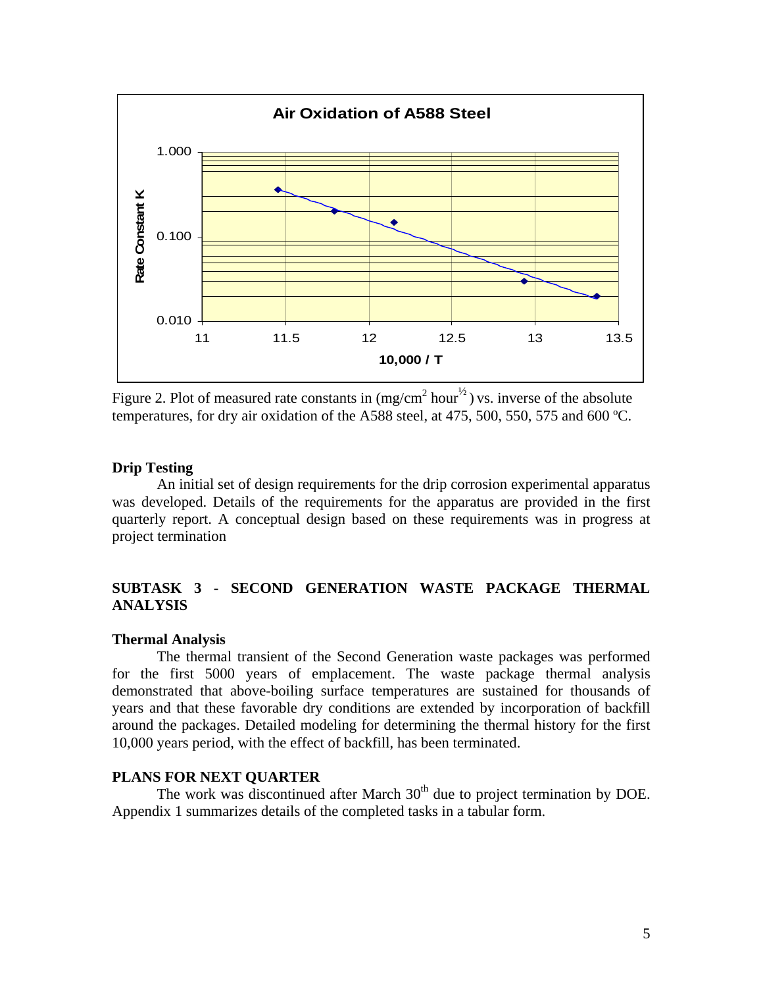

Figure 2. Plot of measured rate constants in  $(mg/cm^2 hour^{1/2})$  vs. inverse of the absolute temperatures, for dry air oxidation of the A588 steel, at 475, 500, 550, 575 and 600 ºC.

#### **Drip Testing**

An initial set of design requirements for the drip corrosion experimental apparatus was developed. Details of the requirements for the apparatus are provided in the first quarterly report. A conceptual design based on these requirements was in progress at project termination

# **SUBTASK 3 - SECOND GENERATION WASTE PACKAGE THERMAL ANALYSIS**

#### **Thermal Analysis**

 The thermal transient of the Second Generation waste packages was performed for the first 5000 years of emplacement. The waste package thermal analysis demonstrated that above-boiling surface temperatures are sustained for thousands of years and that these favorable dry conditions are extended by incorporation of backfill around the packages. Detailed modeling for determining the thermal history for the first 10,000 years period, with the effect of backfill, has been terminated.

#### **PLANS FOR NEXT QUARTER**

The work was discontinued after March  $30<sup>th</sup>$  due to project termination by DOE. Appendix 1 summarizes details of the completed tasks in a tabular form.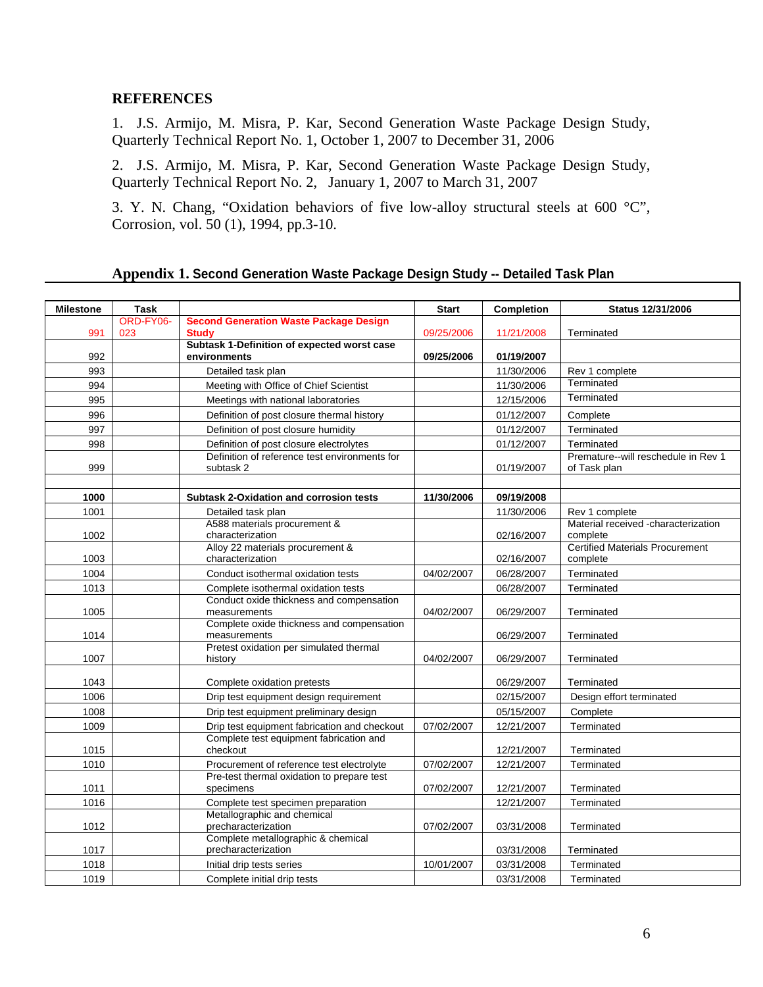## **REFERENCES**

1. J.S. Armijo, M. Misra, P. Kar, Second Generation Waste Package Design Study, Quarterly Technical Report No. 1, October 1, 2007 to December 31, 2006

2.J.S. Armijo, M. Misra, P. Kar, Second Generation Waste Package Design Study, Quarterly Technical Report No. 2, January 1, 2007 to March 31, 2007

3. Y. N. Chang, "Oxidation behaviors of five low-alloy structural steels at 600 °C", Corrosion, vol. 50 (1), 1994, pp.3-10.

## **Appendix 1. Second Generation Waste Package Design Study -- Detailed Task Plan**

| <b>Milestone</b><br><b>Task</b><br><b>Start</b><br>Completion<br><b>Status 12/31/2006</b><br>ORD-FY06-<br><b>Second Generation Waste Package Design</b><br>09/25/2006<br>991<br>023<br><b>Study</b><br>11/21/2008<br>Terminated<br>Subtask 1-Definition of expected worst case<br>environments<br>992<br>09/25/2006<br>01/19/2007<br>993<br>Detailed task plan<br>11/30/2006<br>Rev 1 complete<br>Terminated<br>994<br>Meeting with Office of Chief Scientist<br>11/30/2006<br>Terminated<br>995<br>Meetings with national laboratories<br>12/15/2006<br>996<br>Definition of post closure thermal history<br>01/12/2007<br>Complete<br>997<br>Definition of post closure humidity<br>01/12/2007<br>Terminated<br>998<br>Definition of post closure electrolytes<br>01/12/2007<br>Terminated<br>Definition of reference test environments for<br>Premature--will reschedule in Rev 1<br>999<br>subtask 2<br>01/19/2007<br>of Task plan<br>1000<br><b>Subtask 2-Oxidation and corrosion tests</b><br>11/30/2006<br>09/19/2008<br>1001<br>11/30/2006<br>Detailed task plan<br>Rev 1 complete<br>A588 materials procurement &<br>Material received -characterization<br>1002<br>characterization<br>02/16/2007<br>complete<br>Alloy 22 materials procurement &<br><b>Certified Materials Procurement</b><br>1003<br>characterization<br>02/16/2007<br>complete<br>1004<br>06/28/2007<br>Terminated<br>Conduct isothermal oxidation tests<br>04/02/2007<br>Complete isothermal oxidation tests<br>06/28/2007<br>1013<br>Terminated<br>Conduct oxide thickness and compensation<br>1005<br>04/02/2007<br>06/29/2007<br>Terminated<br>measurements<br>Complete oxide thickness and compensation<br>1014<br>measurements<br>06/29/2007<br>Terminated<br>Pretest oxidation per simulated thermal<br>1007<br>history<br>04/02/2007<br>06/29/2007<br>Terminated<br>1043<br>Complete oxidation pretests<br>06/29/2007<br>Terminated<br>1006<br>Drip test equipment design requirement<br>02/15/2007<br>Design effort terminated<br>1008<br>Drip test equipment preliminary design<br>05/15/2007<br>Complete<br>07/02/2007<br>1009<br>Drip test equipment fabrication and checkout<br>12/21/2007<br>Terminated<br>Complete test equipment fabrication and<br>1015<br>checkout<br>12/21/2007<br>Terminated<br>1010<br>Procurement of reference test electrolyte<br>07/02/2007<br>12/21/2007<br>Terminated<br>Pre-test thermal oxidation to prepare test<br>07/02/2007<br>1011<br>specimens<br>12/21/2007<br>Terminated<br>1016<br>12/21/2007<br>Terminated<br>Complete test specimen preparation<br>Metallographic and chemical<br>1012<br>precharacterization<br>07/02/2007<br>03/31/2008<br>Terminated<br>Complete metallographic & chemical<br>precharacterization<br>1017<br>03/31/2008<br>Terminated<br>1018<br>10/01/2007<br>03/31/2008<br>Initial drip tests series<br>Terminated<br>1019<br>03/31/2008<br>Complete initial drip tests<br>Terminated |  |  |  |
|------------------------------------------------------------------------------------------------------------------------------------------------------------------------------------------------------------------------------------------------------------------------------------------------------------------------------------------------------------------------------------------------------------------------------------------------------------------------------------------------------------------------------------------------------------------------------------------------------------------------------------------------------------------------------------------------------------------------------------------------------------------------------------------------------------------------------------------------------------------------------------------------------------------------------------------------------------------------------------------------------------------------------------------------------------------------------------------------------------------------------------------------------------------------------------------------------------------------------------------------------------------------------------------------------------------------------------------------------------------------------------------------------------------------------------------------------------------------------------------------------------------------------------------------------------------------------------------------------------------------------------------------------------------------------------------------------------------------------------------------------------------------------------------------------------------------------------------------------------------------------------------------------------------------------------------------------------------------------------------------------------------------------------------------------------------------------------------------------------------------------------------------------------------------------------------------------------------------------------------------------------------------------------------------------------------------------------------------------------------------------------------------------------------------------------------------------------------------------------------------------------------------------------------------------------------------------------------------------------------------------------------------------------------------------------------------------------------------------------------------------------------------------------------------------------------------------------------------------------------------------------------------------------------------------------------------|--|--|--|
|                                                                                                                                                                                                                                                                                                                                                                                                                                                                                                                                                                                                                                                                                                                                                                                                                                                                                                                                                                                                                                                                                                                                                                                                                                                                                                                                                                                                                                                                                                                                                                                                                                                                                                                                                                                                                                                                                                                                                                                                                                                                                                                                                                                                                                                                                                                                                                                                                                                                                                                                                                                                                                                                                                                                                                                                                                                                                                                                                |  |  |  |
|                                                                                                                                                                                                                                                                                                                                                                                                                                                                                                                                                                                                                                                                                                                                                                                                                                                                                                                                                                                                                                                                                                                                                                                                                                                                                                                                                                                                                                                                                                                                                                                                                                                                                                                                                                                                                                                                                                                                                                                                                                                                                                                                                                                                                                                                                                                                                                                                                                                                                                                                                                                                                                                                                                                                                                                                                                                                                                                                                |  |  |  |
|                                                                                                                                                                                                                                                                                                                                                                                                                                                                                                                                                                                                                                                                                                                                                                                                                                                                                                                                                                                                                                                                                                                                                                                                                                                                                                                                                                                                                                                                                                                                                                                                                                                                                                                                                                                                                                                                                                                                                                                                                                                                                                                                                                                                                                                                                                                                                                                                                                                                                                                                                                                                                                                                                                                                                                                                                                                                                                                                                |  |  |  |
|                                                                                                                                                                                                                                                                                                                                                                                                                                                                                                                                                                                                                                                                                                                                                                                                                                                                                                                                                                                                                                                                                                                                                                                                                                                                                                                                                                                                                                                                                                                                                                                                                                                                                                                                                                                                                                                                                                                                                                                                                                                                                                                                                                                                                                                                                                                                                                                                                                                                                                                                                                                                                                                                                                                                                                                                                                                                                                                                                |  |  |  |
|                                                                                                                                                                                                                                                                                                                                                                                                                                                                                                                                                                                                                                                                                                                                                                                                                                                                                                                                                                                                                                                                                                                                                                                                                                                                                                                                                                                                                                                                                                                                                                                                                                                                                                                                                                                                                                                                                                                                                                                                                                                                                                                                                                                                                                                                                                                                                                                                                                                                                                                                                                                                                                                                                                                                                                                                                                                                                                                                                |  |  |  |
|                                                                                                                                                                                                                                                                                                                                                                                                                                                                                                                                                                                                                                                                                                                                                                                                                                                                                                                                                                                                                                                                                                                                                                                                                                                                                                                                                                                                                                                                                                                                                                                                                                                                                                                                                                                                                                                                                                                                                                                                                                                                                                                                                                                                                                                                                                                                                                                                                                                                                                                                                                                                                                                                                                                                                                                                                                                                                                                                                |  |  |  |
|                                                                                                                                                                                                                                                                                                                                                                                                                                                                                                                                                                                                                                                                                                                                                                                                                                                                                                                                                                                                                                                                                                                                                                                                                                                                                                                                                                                                                                                                                                                                                                                                                                                                                                                                                                                                                                                                                                                                                                                                                                                                                                                                                                                                                                                                                                                                                                                                                                                                                                                                                                                                                                                                                                                                                                                                                                                                                                                                                |  |  |  |
|                                                                                                                                                                                                                                                                                                                                                                                                                                                                                                                                                                                                                                                                                                                                                                                                                                                                                                                                                                                                                                                                                                                                                                                                                                                                                                                                                                                                                                                                                                                                                                                                                                                                                                                                                                                                                                                                                                                                                                                                                                                                                                                                                                                                                                                                                                                                                                                                                                                                                                                                                                                                                                                                                                                                                                                                                                                                                                                                                |  |  |  |
|                                                                                                                                                                                                                                                                                                                                                                                                                                                                                                                                                                                                                                                                                                                                                                                                                                                                                                                                                                                                                                                                                                                                                                                                                                                                                                                                                                                                                                                                                                                                                                                                                                                                                                                                                                                                                                                                                                                                                                                                                                                                                                                                                                                                                                                                                                                                                                                                                                                                                                                                                                                                                                                                                                                                                                                                                                                                                                                                                |  |  |  |
|                                                                                                                                                                                                                                                                                                                                                                                                                                                                                                                                                                                                                                                                                                                                                                                                                                                                                                                                                                                                                                                                                                                                                                                                                                                                                                                                                                                                                                                                                                                                                                                                                                                                                                                                                                                                                                                                                                                                                                                                                                                                                                                                                                                                                                                                                                                                                                                                                                                                                                                                                                                                                                                                                                                                                                                                                                                                                                                                                |  |  |  |
|                                                                                                                                                                                                                                                                                                                                                                                                                                                                                                                                                                                                                                                                                                                                                                                                                                                                                                                                                                                                                                                                                                                                                                                                                                                                                                                                                                                                                                                                                                                                                                                                                                                                                                                                                                                                                                                                                                                                                                                                                                                                                                                                                                                                                                                                                                                                                                                                                                                                                                                                                                                                                                                                                                                                                                                                                                                                                                                                                |  |  |  |
|                                                                                                                                                                                                                                                                                                                                                                                                                                                                                                                                                                                                                                                                                                                                                                                                                                                                                                                                                                                                                                                                                                                                                                                                                                                                                                                                                                                                                                                                                                                                                                                                                                                                                                                                                                                                                                                                                                                                                                                                                                                                                                                                                                                                                                                                                                                                                                                                                                                                                                                                                                                                                                                                                                                                                                                                                                                                                                                                                |  |  |  |
|                                                                                                                                                                                                                                                                                                                                                                                                                                                                                                                                                                                                                                                                                                                                                                                                                                                                                                                                                                                                                                                                                                                                                                                                                                                                                                                                                                                                                                                                                                                                                                                                                                                                                                                                                                                                                                                                                                                                                                                                                                                                                                                                                                                                                                                                                                                                                                                                                                                                                                                                                                                                                                                                                                                                                                                                                                                                                                                                                |  |  |  |
|                                                                                                                                                                                                                                                                                                                                                                                                                                                                                                                                                                                                                                                                                                                                                                                                                                                                                                                                                                                                                                                                                                                                                                                                                                                                                                                                                                                                                                                                                                                                                                                                                                                                                                                                                                                                                                                                                                                                                                                                                                                                                                                                                                                                                                                                                                                                                                                                                                                                                                                                                                                                                                                                                                                                                                                                                                                                                                                                                |  |  |  |
|                                                                                                                                                                                                                                                                                                                                                                                                                                                                                                                                                                                                                                                                                                                                                                                                                                                                                                                                                                                                                                                                                                                                                                                                                                                                                                                                                                                                                                                                                                                                                                                                                                                                                                                                                                                                                                                                                                                                                                                                                                                                                                                                                                                                                                                                                                                                                                                                                                                                                                                                                                                                                                                                                                                                                                                                                                                                                                                                                |  |  |  |
|                                                                                                                                                                                                                                                                                                                                                                                                                                                                                                                                                                                                                                                                                                                                                                                                                                                                                                                                                                                                                                                                                                                                                                                                                                                                                                                                                                                                                                                                                                                                                                                                                                                                                                                                                                                                                                                                                                                                                                                                                                                                                                                                                                                                                                                                                                                                                                                                                                                                                                                                                                                                                                                                                                                                                                                                                                                                                                                                                |  |  |  |
|                                                                                                                                                                                                                                                                                                                                                                                                                                                                                                                                                                                                                                                                                                                                                                                                                                                                                                                                                                                                                                                                                                                                                                                                                                                                                                                                                                                                                                                                                                                                                                                                                                                                                                                                                                                                                                                                                                                                                                                                                                                                                                                                                                                                                                                                                                                                                                                                                                                                                                                                                                                                                                                                                                                                                                                                                                                                                                                                                |  |  |  |
|                                                                                                                                                                                                                                                                                                                                                                                                                                                                                                                                                                                                                                                                                                                                                                                                                                                                                                                                                                                                                                                                                                                                                                                                                                                                                                                                                                                                                                                                                                                                                                                                                                                                                                                                                                                                                                                                                                                                                                                                                                                                                                                                                                                                                                                                                                                                                                                                                                                                                                                                                                                                                                                                                                                                                                                                                                                                                                                                                |  |  |  |
|                                                                                                                                                                                                                                                                                                                                                                                                                                                                                                                                                                                                                                                                                                                                                                                                                                                                                                                                                                                                                                                                                                                                                                                                                                                                                                                                                                                                                                                                                                                                                                                                                                                                                                                                                                                                                                                                                                                                                                                                                                                                                                                                                                                                                                                                                                                                                                                                                                                                                                                                                                                                                                                                                                                                                                                                                                                                                                                                                |  |  |  |
|                                                                                                                                                                                                                                                                                                                                                                                                                                                                                                                                                                                                                                                                                                                                                                                                                                                                                                                                                                                                                                                                                                                                                                                                                                                                                                                                                                                                                                                                                                                                                                                                                                                                                                                                                                                                                                                                                                                                                                                                                                                                                                                                                                                                                                                                                                                                                                                                                                                                                                                                                                                                                                                                                                                                                                                                                                                                                                                                                |  |  |  |
|                                                                                                                                                                                                                                                                                                                                                                                                                                                                                                                                                                                                                                                                                                                                                                                                                                                                                                                                                                                                                                                                                                                                                                                                                                                                                                                                                                                                                                                                                                                                                                                                                                                                                                                                                                                                                                                                                                                                                                                                                                                                                                                                                                                                                                                                                                                                                                                                                                                                                                                                                                                                                                                                                                                                                                                                                                                                                                                                                |  |  |  |
|                                                                                                                                                                                                                                                                                                                                                                                                                                                                                                                                                                                                                                                                                                                                                                                                                                                                                                                                                                                                                                                                                                                                                                                                                                                                                                                                                                                                                                                                                                                                                                                                                                                                                                                                                                                                                                                                                                                                                                                                                                                                                                                                                                                                                                                                                                                                                                                                                                                                                                                                                                                                                                                                                                                                                                                                                                                                                                                                                |  |  |  |
|                                                                                                                                                                                                                                                                                                                                                                                                                                                                                                                                                                                                                                                                                                                                                                                                                                                                                                                                                                                                                                                                                                                                                                                                                                                                                                                                                                                                                                                                                                                                                                                                                                                                                                                                                                                                                                                                                                                                                                                                                                                                                                                                                                                                                                                                                                                                                                                                                                                                                                                                                                                                                                                                                                                                                                                                                                                                                                                                                |  |  |  |
|                                                                                                                                                                                                                                                                                                                                                                                                                                                                                                                                                                                                                                                                                                                                                                                                                                                                                                                                                                                                                                                                                                                                                                                                                                                                                                                                                                                                                                                                                                                                                                                                                                                                                                                                                                                                                                                                                                                                                                                                                                                                                                                                                                                                                                                                                                                                                                                                                                                                                                                                                                                                                                                                                                                                                                                                                                                                                                                                                |  |  |  |
|                                                                                                                                                                                                                                                                                                                                                                                                                                                                                                                                                                                                                                                                                                                                                                                                                                                                                                                                                                                                                                                                                                                                                                                                                                                                                                                                                                                                                                                                                                                                                                                                                                                                                                                                                                                                                                                                                                                                                                                                                                                                                                                                                                                                                                                                                                                                                                                                                                                                                                                                                                                                                                                                                                                                                                                                                                                                                                                                                |  |  |  |
|                                                                                                                                                                                                                                                                                                                                                                                                                                                                                                                                                                                                                                                                                                                                                                                                                                                                                                                                                                                                                                                                                                                                                                                                                                                                                                                                                                                                                                                                                                                                                                                                                                                                                                                                                                                                                                                                                                                                                                                                                                                                                                                                                                                                                                                                                                                                                                                                                                                                                                                                                                                                                                                                                                                                                                                                                                                                                                                                                |  |  |  |
|                                                                                                                                                                                                                                                                                                                                                                                                                                                                                                                                                                                                                                                                                                                                                                                                                                                                                                                                                                                                                                                                                                                                                                                                                                                                                                                                                                                                                                                                                                                                                                                                                                                                                                                                                                                                                                                                                                                                                                                                                                                                                                                                                                                                                                                                                                                                                                                                                                                                                                                                                                                                                                                                                                                                                                                                                                                                                                                                                |  |  |  |
|                                                                                                                                                                                                                                                                                                                                                                                                                                                                                                                                                                                                                                                                                                                                                                                                                                                                                                                                                                                                                                                                                                                                                                                                                                                                                                                                                                                                                                                                                                                                                                                                                                                                                                                                                                                                                                                                                                                                                                                                                                                                                                                                                                                                                                                                                                                                                                                                                                                                                                                                                                                                                                                                                                                                                                                                                                                                                                                                                |  |  |  |
|                                                                                                                                                                                                                                                                                                                                                                                                                                                                                                                                                                                                                                                                                                                                                                                                                                                                                                                                                                                                                                                                                                                                                                                                                                                                                                                                                                                                                                                                                                                                                                                                                                                                                                                                                                                                                                                                                                                                                                                                                                                                                                                                                                                                                                                                                                                                                                                                                                                                                                                                                                                                                                                                                                                                                                                                                                                                                                                                                |  |  |  |
|                                                                                                                                                                                                                                                                                                                                                                                                                                                                                                                                                                                                                                                                                                                                                                                                                                                                                                                                                                                                                                                                                                                                                                                                                                                                                                                                                                                                                                                                                                                                                                                                                                                                                                                                                                                                                                                                                                                                                                                                                                                                                                                                                                                                                                                                                                                                                                                                                                                                                                                                                                                                                                                                                                                                                                                                                                                                                                                                                |  |  |  |
|                                                                                                                                                                                                                                                                                                                                                                                                                                                                                                                                                                                                                                                                                                                                                                                                                                                                                                                                                                                                                                                                                                                                                                                                                                                                                                                                                                                                                                                                                                                                                                                                                                                                                                                                                                                                                                                                                                                                                                                                                                                                                                                                                                                                                                                                                                                                                                                                                                                                                                                                                                                                                                                                                                                                                                                                                                                                                                                                                |  |  |  |
|                                                                                                                                                                                                                                                                                                                                                                                                                                                                                                                                                                                                                                                                                                                                                                                                                                                                                                                                                                                                                                                                                                                                                                                                                                                                                                                                                                                                                                                                                                                                                                                                                                                                                                                                                                                                                                                                                                                                                                                                                                                                                                                                                                                                                                                                                                                                                                                                                                                                                                                                                                                                                                                                                                                                                                                                                                                                                                                                                |  |  |  |
|                                                                                                                                                                                                                                                                                                                                                                                                                                                                                                                                                                                                                                                                                                                                                                                                                                                                                                                                                                                                                                                                                                                                                                                                                                                                                                                                                                                                                                                                                                                                                                                                                                                                                                                                                                                                                                                                                                                                                                                                                                                                                                                                                                                                                                                                                                                                                                                                                                                                                                                                                                                                                                                                                                                                                                                                                                                                                                                                                |  |  |  |
|                                                                                                                                                                                                                                                                                                                                                                                                                                                                                                                                                                                                                                                                                                                                                                                                                                                                                                                                                                                                                                                                                                                                                                                                                                                                                                                                                                                                                                                                                                                                                                                                                                                                                                                                                                                                                                                                                                                                                                                                                                                                                                                                                                                                                                                                                                                                                                                                                                                                                                                                                                                                                                                                                                                                                                                                                                                                                                                                                |  |  |  |
|                                                                                                                                                                                                                                                                                                                                                                                                                                                                                                                                                                                                                                                                                                                                                                                                                                                                                                                                                                                                                                                                                                                                                                                                                                                                                                                                                                                                                                                                                                                                                                                                                                                                                                                                                                                                                                                                                                                                                                                                                                                                                                                                                                                                                                                                                                                                                                                                                                                                                                                                                                                                                                                                                                                                                                                                                                                                                                                                                |  |  |  |
|                                                                                                                                                                                                                                                                                                                                                                                                                                                                                                                                                                                                                                                                                                                                                                                                                                                                                                                                                                                                                                                                                                                                                                                                                                                                                                                                                                                                                                                                                                                                                                                                                                                                                                                                                                                                                                                                                                                                                                                                                                                                                                                                                                                                                                                                                                                                                                                                                                                                                                                                                                                                                                                                                                                                                                                                                                                                                                                                                |  |  |  |